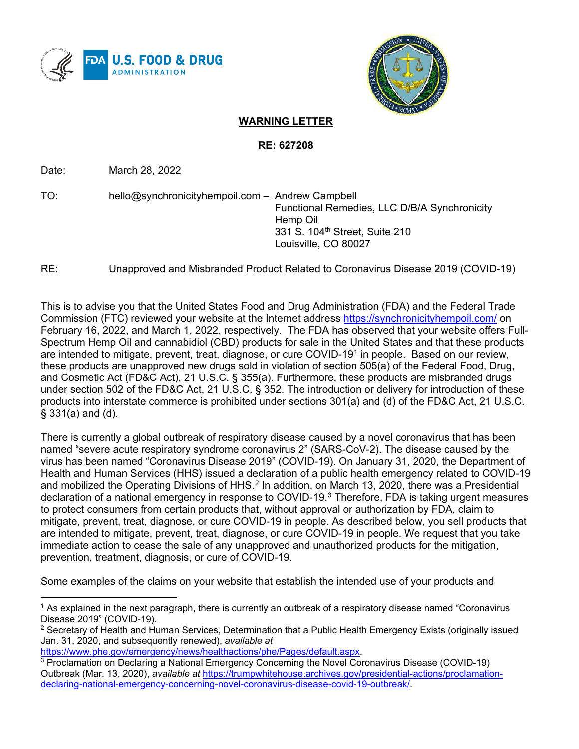



## **WARNING LETTER**

**RE: 627208**

Date: March 28, 2022

TO: hello@synchronicityhempoil.com – Andrew Campbell Functional Remedies, LLC D/B/A Synchronicity Hemp Oil 331 S. 104<sup>th</sup> Street, Suite 210 Louisville, CO 80027

RE: Unapproved and Misbranded Product Related to Coronavirus Disease 2019 (COVID-19)

This is to advise you that the United States Food and Drug Administration (FDA) and the Federal Trade Commission (FTC) reviewed your website at the Internet address<https://synchronicityhempoil.com/> on February 16, 2022, and March 1, 2022, respectively. The FDA has observed that your website offers Full-Spectrum Hemp Oil and cannabidiol (CBD) products for sale in the United States and that these products are intended to mitigate, prevent, treat, diagnose, or cure COVID-[1](#page-0-0)9<sup>1</sup> in people. Based on our review, these products are unapproved new drugs sold in violation of section 505(a) of the Federal Food, Drug, and Cosmetic Act (FD&C Act), 21 U.S.C. § 355(a). Furthermore, these products are misbranded drugs under section 502 of the FD&C Act, 21 U.S.C. § 352. The introduction or delivery for introduction of these products into interstate commerce is prohibited under sections 301(a) and (d) of the FD&C Act, 21 U.S.C. § 331(a) and (d).

There is currently a global outbreak of respiratory disease caused by a novel coronavirus that has been named "severe acute respiratory syndrome coronavirus 2" (SARS-CoV-2). The disease caused by the virus has been named "Coronavirus Disease 2019" (COVID-19). On January 31, 2020, the Department of Health and Human Services (HHS) issued a declaration of a public health emergency related to COVID-19 and mobilized the Operating Divisions of HHS.<sup>[2](#page-0-1)</sup> In addition, on March 13, 2020, there was a Presidential declaration of a national emergency in response to COVID-19.[3](#page-0-2) Therefore, FDA is taking urgent measures to protect consumers from certain products that, without approval or authorization by FDA, claim to mitigate, prevent, treat, diagnose, or cure COVID-19 in people. As described below, you sell products that are intended to mitigate, prevent, treat, diagnose, or cure COVID-19 in people. We request that you take immediate action to cease the sale of any unapproved and unauthorized products for the mitigation, prevention, treatment, diagnosis, or cure of COVID-19.

Some examples of the claims on your website that establish the intended use of your products and

<span id="page-0-0"></span><sup>&</sup>lt;sup>1</sup> As explained in the next paragraph, there is currently an outbreak of a respiratory disease named "Coronavirus Disease 2019" (COVID-19).

<span id="page-0-1"></span> $2$  Secretary of Health and Human Services, Determination that a Public Health Emergency Exists (originally issued Jan. 31, 2020, and subsequently renewed), *available at*

[https://www.phe.gov/emergency/news/healthactions/phe/Pages/default.aspx.](https://www.phe.gov/emergency/news/healthactions/phe/Pages/default.aspx)

<span id="page-0-2"></span><sup>3</sup> Proclamation on Declaring a National Emergency Concerning the Novel Coronavirus Disease (COVID-19) Outbreak (Mar. 13, 2020), *available at* [https://trumpwhitehouse.archives.gov/presidential-actions/proclamation](https://trumpwhitehouse.archives.gov/presidential-actions/proclamation-declaring-national-emergency-concerning-novel-coronavirus-disease-covid-19-outbreak/)[declaring-national-emergency-concerning-novel-coronavirus-disease-covid-19-outbreak/.](https://trumpwhitehouse.archives.gov/presidential-actions/proclamation-declaring-national-emergency-concerning-novel-coronavirus-disease-covid-19-outbreak/)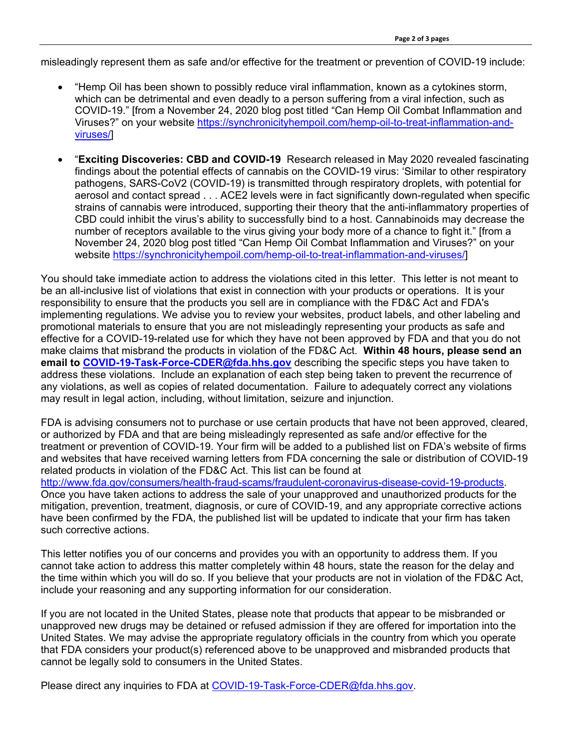misleadingly represent them as safe and/or effective for the treatment or prevention of COVID-19 include:

- "Hemp Oil has been shown to possibly reduce viral inflammation, known as a cytokines storm, which can be detrimental and even deadly to a person suffering from a viral infection, such as COVID-19." [from a November 24, 2020 blog post titled "Can Hemp Oil Combat Inflammation and Viruses?" on your website [https://synchronicityhempoil.com/hemp-oil-to-treat-inflammation-and](https://synchronicityhempoil.com/hemp-oil-to-treat-inflammation-and-viruses/)[viruses/\]](https://synchronicityhempoil.com/hemp-oil-to-treat-inflammation-and-viruses/)
- "**Exciting Discoveries: CBD and COVID-19** Research released in May 2020 revealed fascinating findings about the potential effects of cannabis on the COVID-19 virus: 'Similar to other respiratory pathogens, SARS-CoV2 (COVID-19) is transmitted through respiratory droplets, with potential for aerosol and contact spread . . . ACE2 levels were in fact significantly down-regulated when specific strains of cannabis were introduced, supporting their theory that the anti-inflammatory properties of CBD could inhibit the virus's ability to successfully bind to a host. Cannabinoids may decrease the number of receptors available to the virus giving your body more of a chance to fight it." [from a November 24, 2020 blog post titled "Can Hemp Oil Combat Inflammation and Viruses?" on your website [https://synchronicityhempoil.com/hemp-oil-to-treat-inflammation-and-viruses/\]](https://synchronicityhempoil.com/hemp-oil-to-treat-inflammation-and-viruses/)

You should take immediate action to address the violations cited in this letter. This letter is not meant to be an all-inclusive list of violations that exist in connection with your products or operations. It is your responsibility to ensure that the products you sell are in compliance with the FD&C Act and FDA's implementing regulations. We advise you to review your websites, product labels, and other labeling and promotional materials to ensure that you are not misleadingly representing your products as safe and effective for a COVID-19-related use for which they have not been approved by FDA and that you do not make claims that misbrand the products in violation of the FD&C Act. **Within 48 hours, please send an email to [COVID-19-Task-Force-CDER@fda.hhs.gov](mailto:COVID-19-Task-Force-CDER@fda.hhs.gov)** describing the specific steps you have taken to address these violations. Include an explanation of each step being taken to prevent the recurrence of any violations, as well as copies of related documentation. Failure to adequately correct any violations may result in legal action, including, without limitation, seizure and injunction.

FDA is advising consumers not to purchase or use certain products that have not been approved, cleared, or authorized by FDA and that are being misleadingly represented as safe and/or effective for the treatment or prevention of COVID-19. Your firm will be added to a published list on FDA's website of firms and websites that have received warning letters from FDA concerning the sale or distribution of COVID-19 related products in violation of the FD&C Act. This list can be found at [http://www.fda.gov/consumers/health-fraud-scams/fraudulent-coronavirus-disease-covid-19-products.](http://www.fda.gov/consumers/health-fraud-scams/fraudulent-coronavirus-disease-covid-19-products) Once you have taken actions to address the sale of your unapproved and unauthorized products for the

mitigation, prevention, treatment, diagnosis, or cure of COVID-19, and any appropriate corrective actions have been confirmed by the FDA, the published list will be updated to indicate that your firm has taken such corrective actions.

This letter notifies you of our concerns and provides you with an opportunity to address them. If you cannot take action to address this matter completely within 48 hours, state the reason for the delay and the time within which you will do so. If you believe that your products are not in violation of the FD&C Act, include your reasoning and any supporting information for our consideration.

If you are not located in the United States, please note that products that appear to be misbranded or unapproved new drugs may be detained or refused admission if they are offered for importation into the United States. We may advise the appropriate regulatory officials in the country from which you operate that FDA considers your product(s) referenced above to be unapproved and misbranded products that cannot be legally sold to consumers in the United States.

Please direct any inquiries to FDA at [COVID-19-Task-Force-CDER@fda.hhs.gov.](mailto:COVID-19-Task-Force-CDER@fda.hhs.gov)